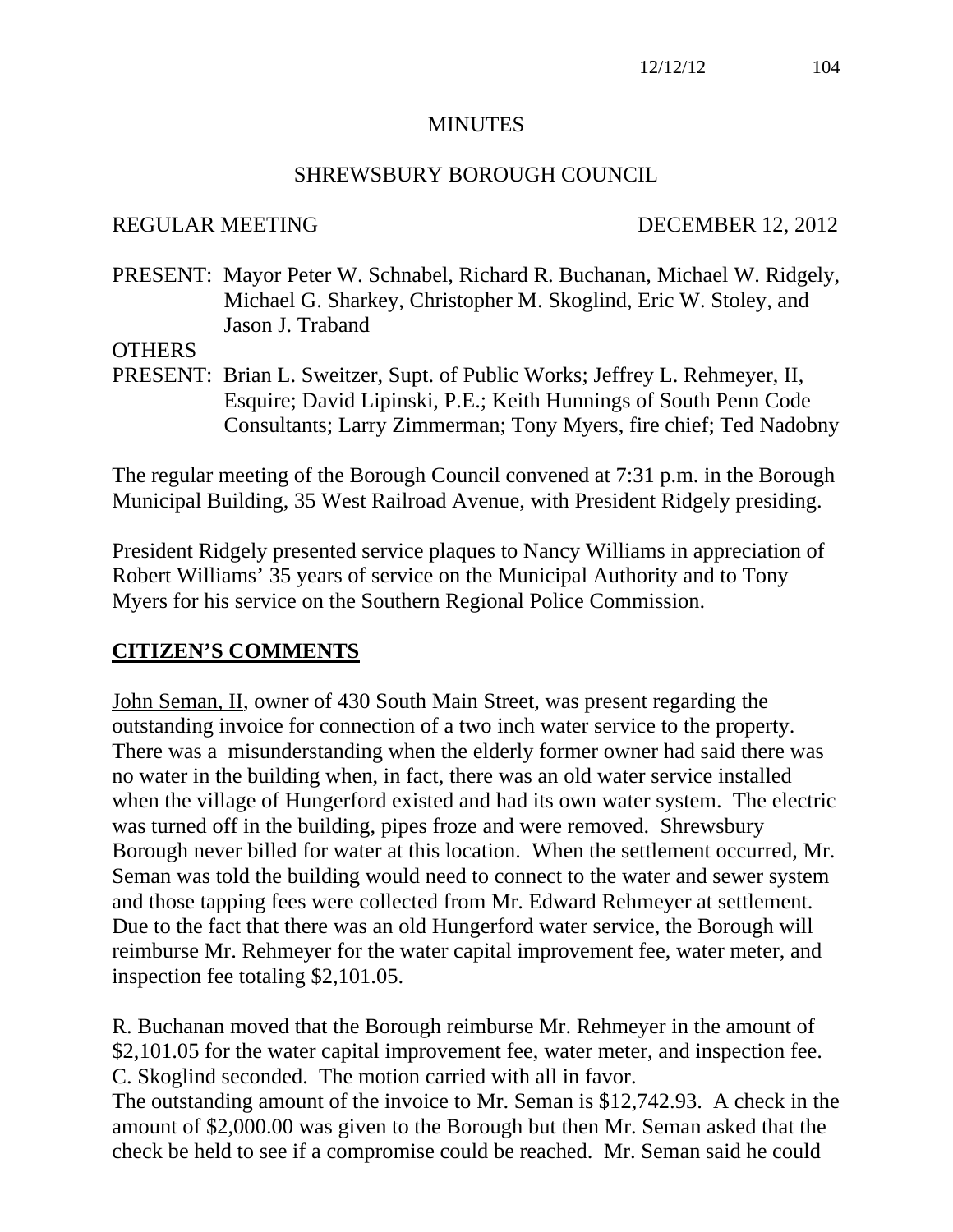#### **MINUTES**

#### SHREWSBURY BOROUGH COUNCIL

#### REGULAR MEETING DECEMBER 12, 2012

PRESENT: Mayor Peter W. Schnabel, Richard R. Buchanan, Michael W. Ridgely, Michael G. Sharkey, Christopher M. Skoglind, Eric W. Stoley, and Jason J. Traband

#### **OTHERS**

PRESENT: Brian L. Sweitzer, Supt. of Public Works; Jeffrey L. Rehmeyer, II, Esquire; David Lipinski, P.E.; Keith Hunnings of South Penn Code Consultants; Larry Zimmerman; Tony Myers, fire chief; Ted Nadobny

The regular meeting of the Borough Council convened at 7:31 p.m. in the Borough Municipal Building, 35 West Railroad Avenue, with President Ridgely presiding.

President Ridgely presented service plaques to Nancy Williams in appreciation of Robert Williams' 35 years of service on the Municipal Authority and to Tony Myers for his service on the Southern Regional Police Commission.

## **CITIZEN'S COMMENTS**

John Seman, II, owner of 430 South Main Street, was present regarding the outstanding invoice for connection of a two inch water service to the property. There was a misunderstanding when the elderly former owner had said there was no water in the building when, in fact, there was an old water service installed when the village of Hungerford existed and had its own water system. The electric was turned off in the building, pipes froze and were removed. Shrewsbury Borough never billed for water at this location. When the settlement occurred, Mr. Seman was told the building would need to connect to the water and sewer system and those tapping fees were collected from Mr. Edward Rehmeyer at settlement. Due to the fact that there was an old Hungerford water service, the Borough will reimburse Mr. Rehmeyer for the water capital improvement fee, water meter, and inspection fee totaling \$2,101.05.

R. Buchanan moved that the Borough reimburse Mr. Rehmeyer in the amount of \$2,101.05 for the water capital improvement fee, water meter, and inspection fee. C. Skoglind seconded. The motion carried with all in favor.

The outstanding amount of the invoice to Mr. Seman is \$12,742.93. A check in the amount of \$2,000.00 was given to the Borough but then Mr. Seman asked that the check be held to see if a compromise could be reached. Mr. Seman said he could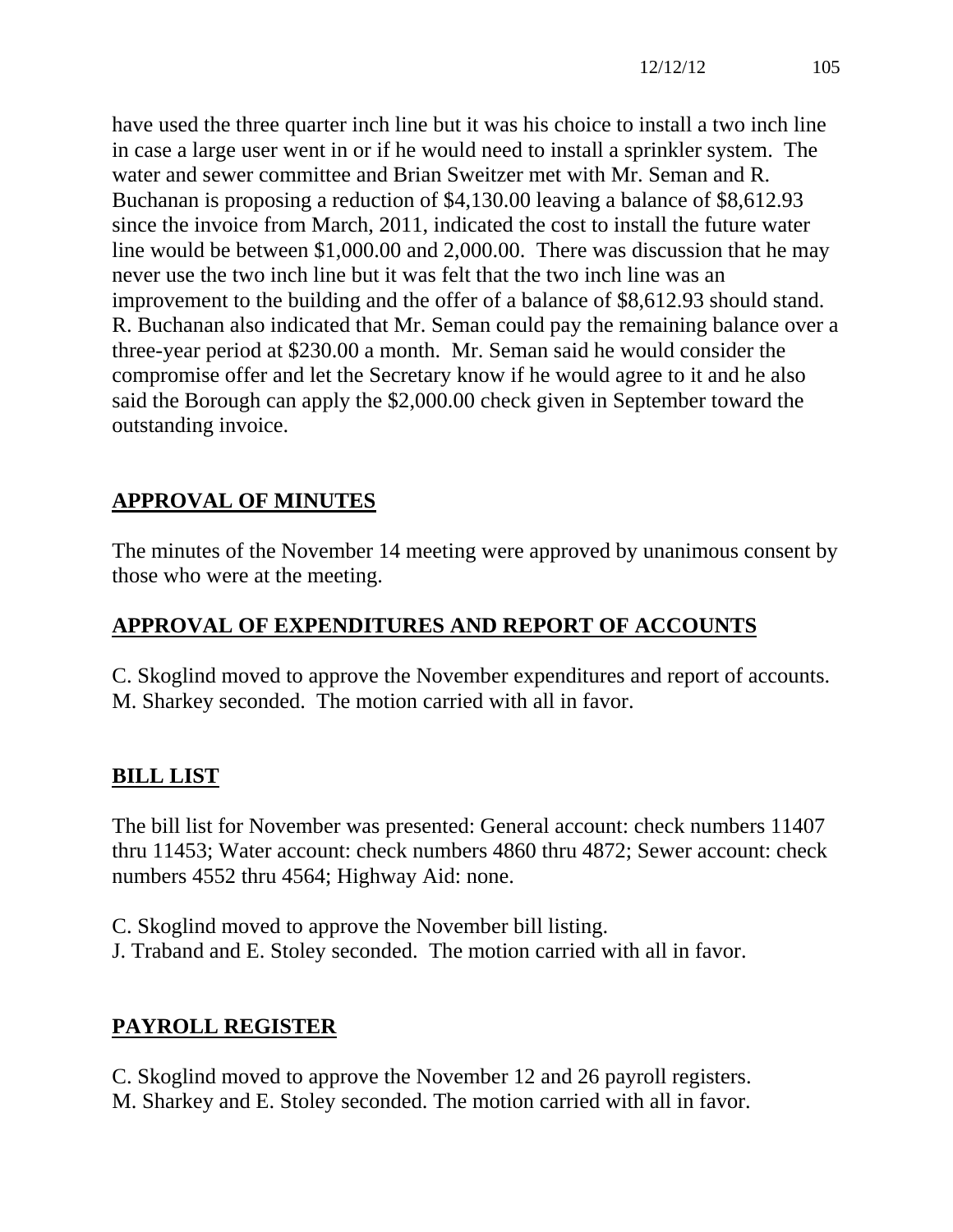have used the three quarter inch line but it was his choice to install a two inch line in case a large user went in or if he would need to install a sprinkler system. The water and sewer committee and Brian Sweitzer met with Mr. Seman and R. Buchanan is proposing a reduction of \$4,130.00 leaving a balance of \$8,612.93 since the invoice from March, 2011, indicated the cost to install the future water line would be between \$1,000.00 and 2,000.00. There was discussion that he may never use the two inch line but it was felt that the two inch line was an improvement to the building and the offer of a balance of \$8,612.93 should stand. R. Buchanan also indicated that Mr. Seman could pay the remaining balance over a three-year period at \$230.00 a month. Mr. Seman said he would consider the compromise offer and let the Secretary know if he would agree to it and he also said the Borough can apply the \$2,000.00 check given in September toward the outstanding invoice.

# **APPROVAL OF MINUTES**

The minutes of the November 14 meeting were approved by unanimous consent by those who were at the meeting.

# **APPROVAL OF EXPENDITURES AND REPORT OF ACCOUNTS**

C. Skoglind moved to approve the November expenditures and report of accounts. M. Sharkey seconded. The motion carried with all in favor.

# **BILL LIST**

The bill list for November was presented: General account: check numbers 11407 thru 11453; Water account: check numbers 4860 thru 4872; Sewer account: check numbers 4552 thru 4564; Highway Aid: none.

C. Skoglind moved to approve the November bill listing. J. Traband and E. Stoley seconded. The motion carried with all in favor.

# **PAYROLL REGISTER**

C. Skoglind moved to approve the November 12 and 26 payroll registers. M. Sharkey and E. Stoley seconded. The motion carried with all in favor.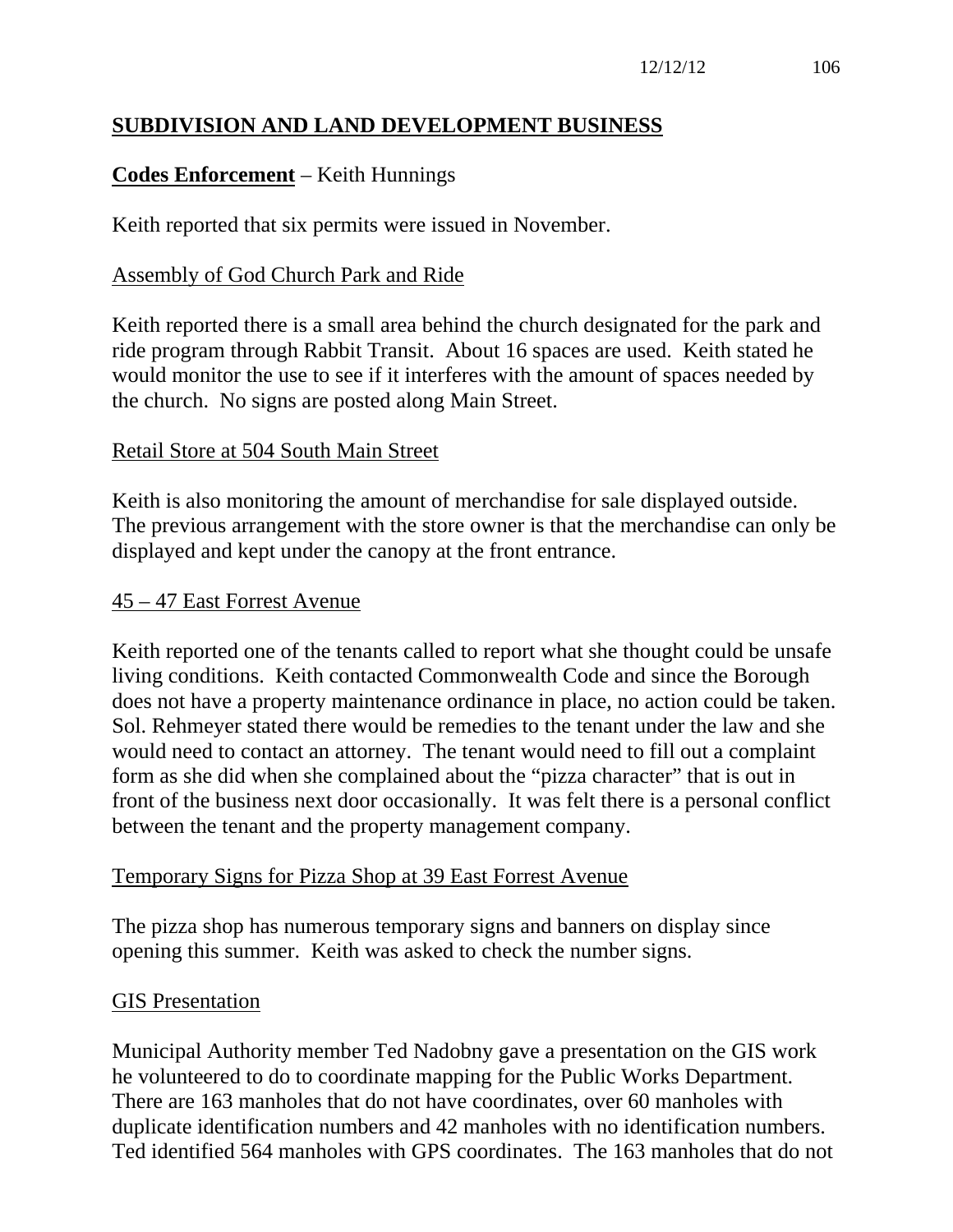## **SUBDIVISION AND LAND DEVELOPMENT BUSINESS**

## **Codes Enforcement** – Keith Hunnings

Keith reported that six permits were issued in November.

#### Assembly of God Church Park and Ride

Keith reported there is a small area behind the church designated for the park and ride program through Rabbit Transit. About 16 spaces are used. Keith stated he would monitor the use to see if it interferes with the amount of spaces needed by the church. No signs are posted along Main Street.

#### Retail Store at 504 South Main Street

Keith is also monitoring the amount of merchandise for sale displayed outside. The previous arrangement with the store owner is that the merchandise can only be displayed and kept under the canopy at the front entrance.

#### 45 – 47 East Forrest Avenue

Keith reported one of the tenants called to report what she thought could be unsafe living conditions. Keith contacted Commonwealth Code and since the Borough does not have a property maintenance ordinance in place, no action could be taken. Sol. Rehmeyer stated there would be remedies to the tenant under the law and she would need to contact an attorney. The tenant would need to fill out a complaint form as she did when she complained about the "pizza character" that is out in front of the business next door occasionally. It was felt there is a personal conflict between the tenant and the property management company.

#### Temporary Signs for Pizza Shop at 39 East Forrest Avenue

The pizza shop has numerous temporary signs and banners on display since opening this summer. Keith was asked to check the number signs.

#### GIS Presentation

Municipal Authority member Ted Nadobny gave a presentation on the GIS work he volunteered to do to coordinate mapping for the Public Works Department. There are 163 manholes that do not have coordinates, over 60 manholes with duplicate identification numbers and 42 manholes with no identification numbers. Ted identified 564 manholes with GPS coordinates. The 163 manholes that do not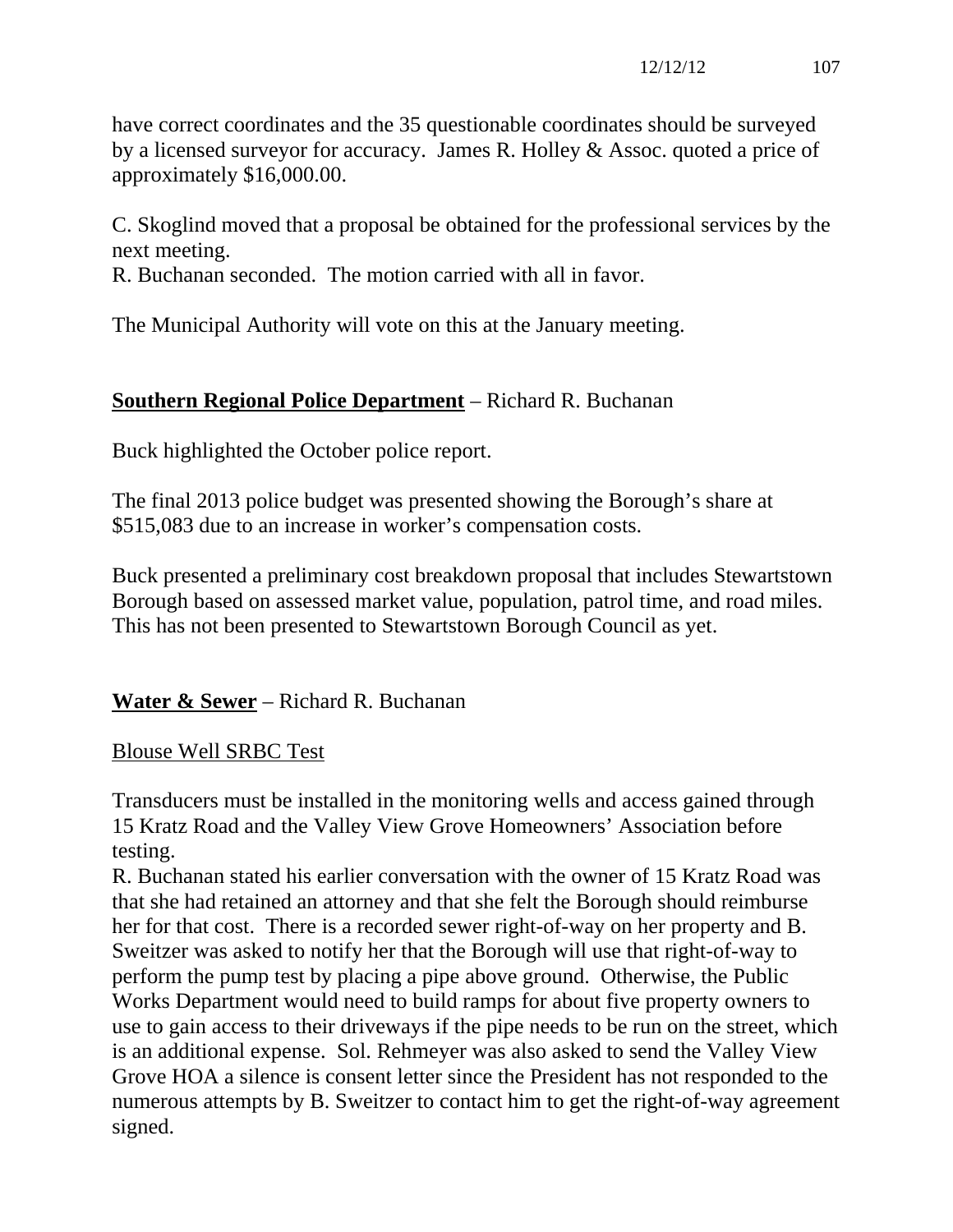have correct coordinates and the 35 questionable coordinates should be surveyed by a licensed surveyor for accuracy. James R. Holley & Assoc. quoted a price of approximately \$16,000.00.

C. Skoglind moved that a proposal be obtained for the professional services by the next meeting.

R. Buchanan seconded. The motion carried with all in favor.

The Municipal Authority will vote on this at the January meeting.

# **Southern Regional Police Department** – Richard R. Buchanan

Buck highlighted the October police report.

The final 2013 police budget was presented showing the Borough's share at \$515,083 due to an increase in worker's compensation costs.

Buck presented a preliminary cost breakdown proposal that includes Stewartstown Borough based on assessed market value, population, patrol time, and road miles. This has not been presented to Stewartstown Borough Council as yet.

**Water & Sewer** – Richard R. Buchanan

## Blouse Well SRBC Test

Transducers must be installed in the monitoring wells and access gained through 15 Kratz Road and the Valley View Grove Homeowners' Association before testing.

R. Buchanan stated his earlier conversation with the owner of 15 Kratz Road was that she had retained an attorney and that she felt the Borough should reimburse her for that cost. There is a recorded sewer right-of-way on her property and B. Sweitzer was asked to notify her that the Borough will use that right-of-way to perform the pump test by placing a pipe above ground. Otherwise, the Public Works Department would need to build ramps for about five property owners to use to gain access to their driveways if the pipe needs to be run on the street, which is an additional expense. Sol. Rehmeyer was also asked to send the Valley View Grove HOA a silence is consent letter since the President has not responded to the numerous attempts by B. Sweitzer to contact him to get the right-of-way agreement signed.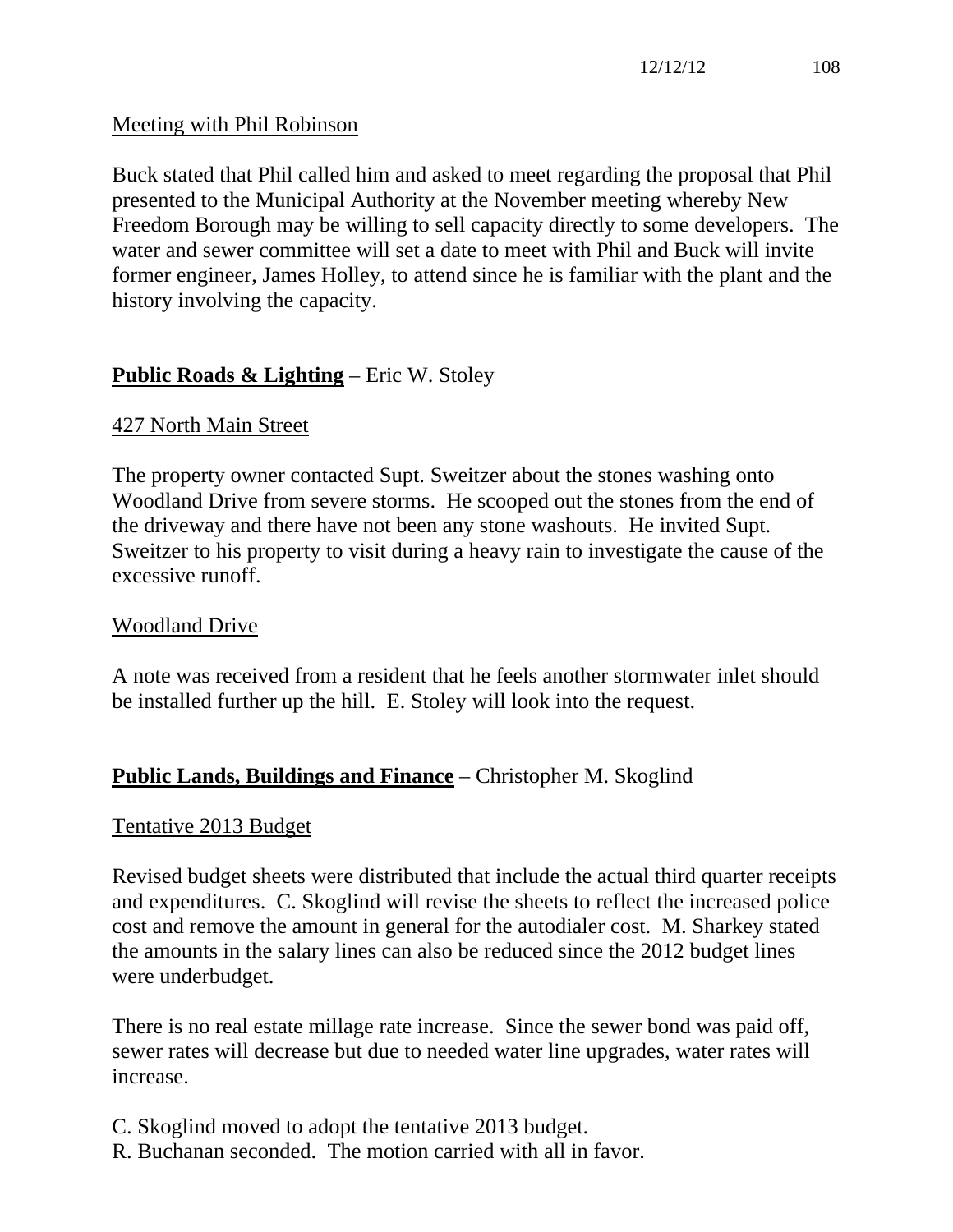## Meeting with Phil Robinson

Buck stated that Phil called him and asked to meet regarding the proposal that Phil presented to the Municipal Authority at the November meeting whereby New Freedom Borough may be willing to sell capacity directly to some developers. The water and sewer committee will set a date to meet with Phil and Buck will invite former engineer, James Holley, to attend since he is familiar with the plant and the history involving the capacity.

## **Public Roads & Lighting** – Eric W. Stoley

## 427 North Main Street

The property owner contacted Supt. Sweitzer about the stones washing onto Woodland Drive from severe storms. He scooped out the stones from the end of the driveway and there have not been any stone washouts. He invited Supt. Sweitzer to his property to visit during a heavy rain to investigate the cause of the excessive runoff.

## Woodland Drive

A note was received from a resident that he feels another stormwater inlet should be installed further up the hill. E. Stoley will look into the request.

## **Public Lands, Buildings and Finance** – Christopher M. Skoglind

## Tentative 2013 Budget

Revised budget sheets were distributed that include the actual third quarter receipts and expenditures. C. Skoglind will revise the sheets to reflect the increased police cost and remove the amount in general for the autodialer cost. M. Sharkey stated the amounts in the salary lines can also be reduced since the 2012 budget lines were underbudget.

There is no real estate millage rate increase. Since the sewer bond was paid off, sewer rates will decrease but due to needed water line upgrades, water rates will increase.

- C. Skoglind moved to adopt the tentative 2013 budget.
- R. Buchanan seconded. The motion carried with all in favor.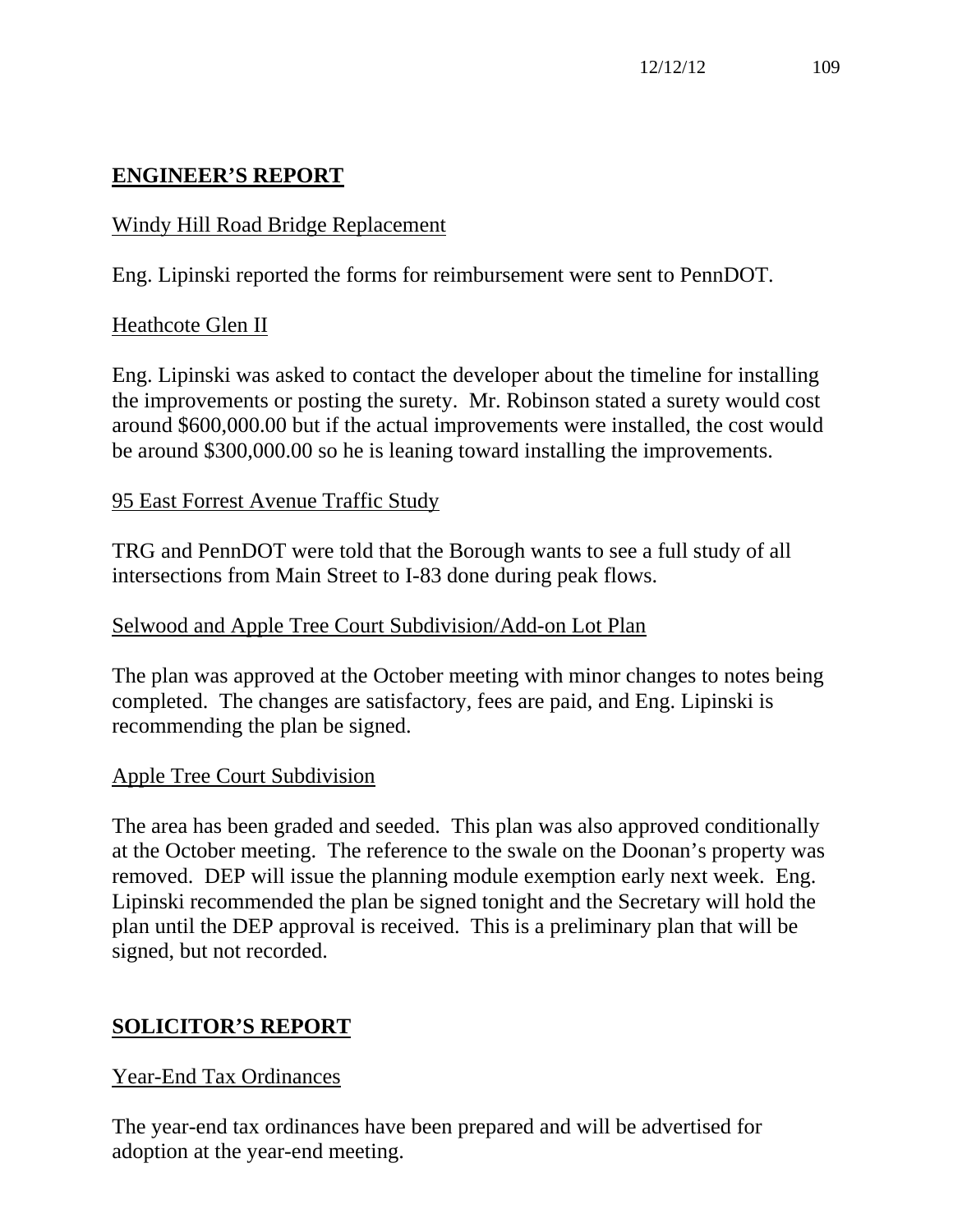# **ENGINEER'S REPORT**

## Windy Hill Road Bridge Replacement

Eng. Lipinski reported the forms for reimbursement were sent to PennDOT.

## Heathcote Glen II

Eng. Lipinski was asked to contact the developer about the timeline for installing the improvements or posting the surety. Mr. Robinson stated a surety would cost around \$600,000.00 but if the actual improvements were installed, the cost would be around \$300,000.00 so he is leaning toward installing the improvements.

## 95 East Forrest Avenue Traffic Study

TRG and PennDOT were told that the Borough wants to see a full study of all intersections from Main Street to I-83 done during peak flows.

## Selwood and Apple Tree Court Subdivision/Add-on Lot Plan

The plan was approved at the October meeting with minor changes to notes being completed. The changes are satisfactory, fees are paid, and Eng. Lipinski is recommending the plan be signed.

## Apple Tree Court Subdivision

The area has been graded and seeded. This plan was also approved conditionally at the October meeting. The reference to the swale on the Doonan's property was removed. DEP will issue the planning module exemption early next week. Eng. Lipinski recommended the plan be signed tonight and the Secretary will hold the plan until the DEP approval is received. This is a preliminary plan that will be signed, but not recorded.

## **SOLICITOR'S REPORT**

## Year-End Tax Ordinances

The year-end tax ordinances have been prepared and will be advertised for adoption at the year-end meeting.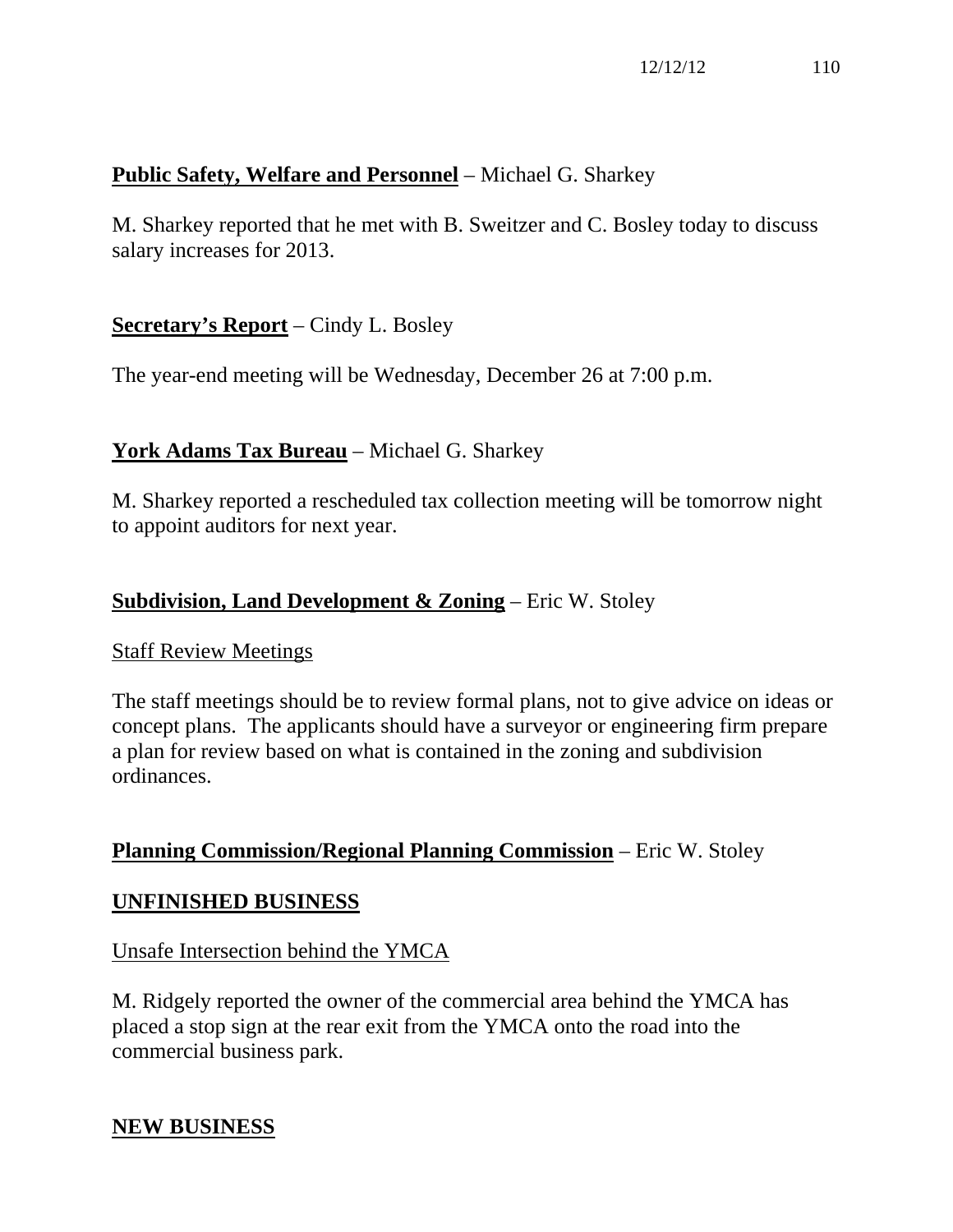# **Public Safety, Welfare and Personnel** – Michael G. Sharkey

M. Sharkey reported that he met with B. Sweitzer and C. Bosley today to discuss salary increases for 2013.

## **Secretary's Report** – Cindy L. Bosley

The year-end meeting will be Wednesday, December 26 at 7:00 p.m.

## **York Adams Tax Bureau** – Michael G. Sharkey

M. Sharkey reported a rescheduled tax collection meeting will be tomorrow night to appoint auditors for next year.

## **Subdivision, Land Development & Zoning** – Eric W. Stoley

#### Staff Review Meetings

The staff meetings should be to review formal plans, not to give advice on ideas or concept plans. The applicants should have a surveyor or engineering firm prepare a plan for review based on what is contained in the zoning and subdivision ordinances.

## **Planning Commission/Regional Planning Commission** – Eric W. Stoley

## **UNFINISHED BUSINESS**

## Unsafe Intersection behind the YMCA

M. Ridgely reported the owner of the commercial area behind the YMCA has placed a stop sign at the rear exit from the YMCA onto the road into the commercial business park.

## **NEW BUSINESS**